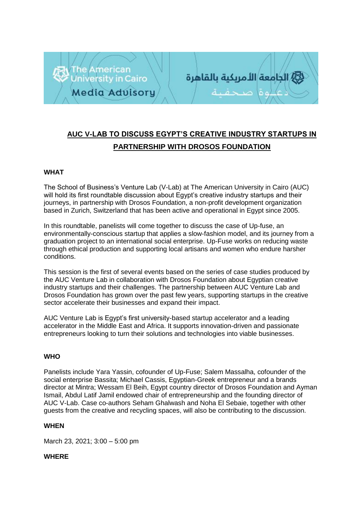



# **AUC V-LAB TO DISCUSS EGYPT'S CREATIVE INDUSTRY STARTUPS IN PARTNERSHIP WITH DROSOS FOUNDATION**

# **WHAT**

The School of Business's Venture Lab (V-Lab) at The American University in Cairo (AUC) will hold its first roundtable discussion about Egypt's creative industry startups and their journeys, in partnership with Drosos Foundation, a non-profit development organization based in Zurich, Switzerland that has been active and operational in Egypt since 2005.

In this roundtable, panelists will come together to discuss the case of Up-fuse, an environmentally-conscious startup that applies a slow-fashion model, and its journey from a graduation project to an international social enterprise. Up-Fuse works on reducing waste through ethical production and supporting local artisans and women who endure harsher conditions.

This session is the first of several events based on the series of case studies produced by the AUC Venture Lab in collaboration with Drosos Foundation about Egyptian creative industry startups and their challenges. The partnership between AUC Venture Lab and Drosos Foundation has grown over the past few years, supporting startups in the creative sector accelerate their businesses and expand their impact.

AUC Venture Lab is Egypt's first university-based startup accelerator and a leading accelerator in the Middle East and Africa. It supports innovation-driven and passionate entrepreneurs looking to turn their solutions and technologies into viable businesses.

## **WHO**

Panelists include Yara Yassin, cofounder o[f](https://up-fuse.com/) [Up-Fuse;](https://up-fuse.com/) Salem Massalha, cofounder of the social enterprise Bassita; Michael Cassis, Egyptian-Greek entrepreneur and a brands director at Mintra; Wessam El Beih, Egypt country director of Drosos Foundation and Ayman Ismail, Abdul Latif Jamil endowed chair of entrepreneurship and the founding director of AUC V-Lab. Case co-authors Seham Ghalwash and Noha El Sebaie, together with other guests from the creative and recycling spaces, will also be contributing to the discussion.

#### **WHEN**

March 23, 2021; 3:00 – 5:00 pm

## **WHERE**